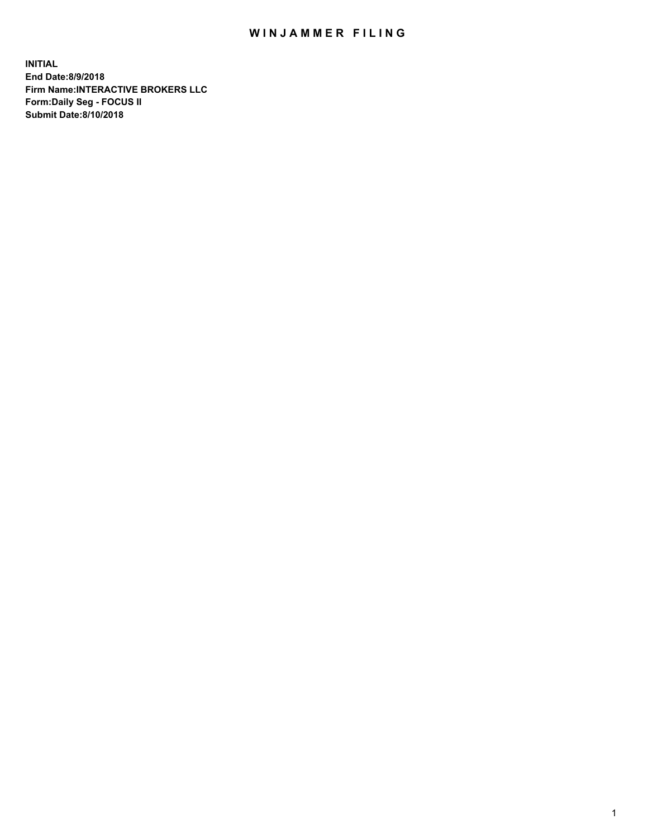## WIN JAMMER FILING

**INITIAL End Date:8/9/2018 Firm Name:INTERACTIVE BROKERS LLC Form:Daily Seg - FOCUS II Submit Date:8/10/2018**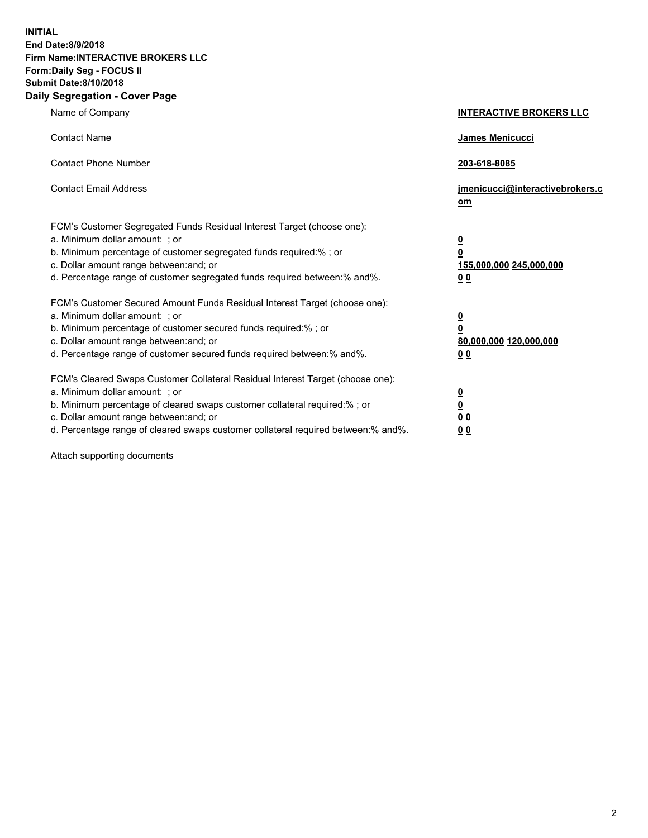**INITIAL End Date:8/9/2018 Firm Name:INTERACTIVE BROKERS LLC Form:Daily Seg - FOCUS II Submit Date:8/10/2018 Daily Segregation - Cover Page**

| Name of Company                                                                                                                                                                                                                                                                                                                | <b>INTERACTIVE BROKERS LLC</b>                                                      |
|--------------------------------------------------------------------------------------------------------------------------------------------------------------------------------------------------------------------------------------------------------------------------------------------------------------------------------|-------------------------------------------------------------------------------------|
| <b>Contact Name</b>                                                                                                                                                                                                                                                                                                            | James Menicucci                                                                     |
| <b>Contact Phone Number</b>                                                                                                                                                                                                                                                                                                    | 203-618-8085                                                                        |
| <b>Contact Email Address</b>                                                                                                                                                                                                                                                                                                   | jmenicucci@interactivebrokers.c<br>om                                               |
| FCM's Customer Segregated Funds Residual Interest Target (choose one):<br>a. Minimum dollar amount: ; or<br>b. Minimum percentage of customer segregated funds required:% ; or<br>c. Dollar amount range between: and; or<br>d. Percentage range of customer segregated funds required between:% and%.                         | $\overline{\mathbf{0}}$<br>$\overline{\mathbf{0}}$<br>155,000,000 245,000,000<br>00 |
| FCM's Customer Secured Amount Funds Residual Interest Target (choose one):<br>a. Minimum dollar amount: ; or<br>b. Minimum percentage of customer secured funds required:% ; or<br>c. Dollar amount range between: and; or<br>d. Percentage range of customer secured funds required between:% and%.                           | $\overline{\mathbf{0}}$<br>0<br>80,000,000 120,000,000<br>0 <sub>0</sub>            |
| FCM's Cleared Swaps Customer Collateral Residual Interest Target (choose one):<br>a. Minimum dollar amount: ; or<br>b. Minimum percentage of cleared swaps customer collateral required:% ; or<br>c. Dollar amount range between: and; or<br>d. Percentage range of cleared swaps customer collateral required between:% and%. | $\overline{\mathbf{0}}$<br><u>0</u><br>0 <sub>0</sub><br>00                         |

Attach supporting documents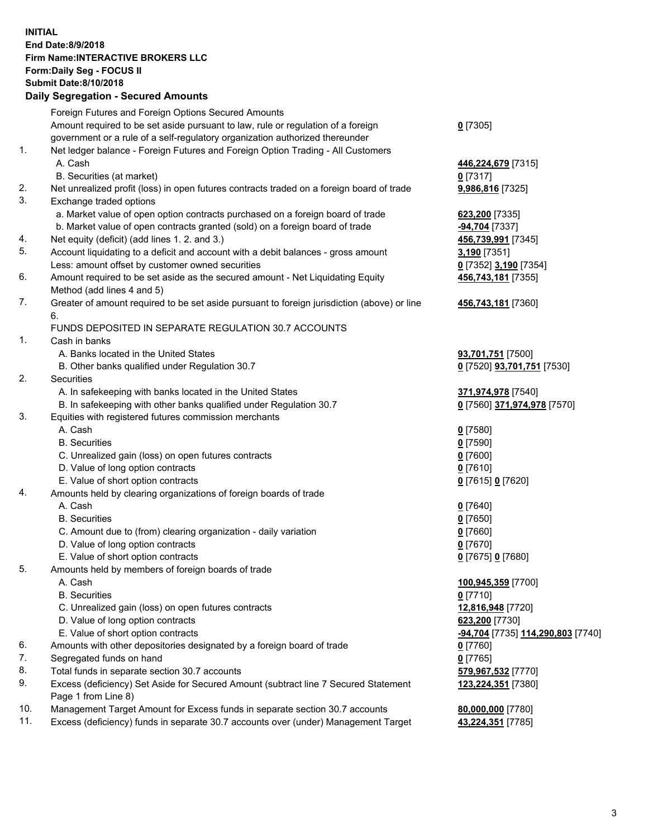## **INITIAL End Date:8/9/2018 Firm Name:INTERACTIVE BROKERS LLC Form:Daily Seg - FOCUS II Submit Date:8/10/2018 Daily Segregation - Secured Amounts**

|     | Daily Jegiegation - Jeculed Aniounts                                                                       |                                   |
|-----|------------------------------------------------------------------------------------------------------------|-----------------------------------|
|     | Foreign Futures and Foreign Options Secured Amounts                                                        |                                   |
|     | Amount required to be set aside pursuant to law, rule or regulation of a foreign                           | $0$ [7305]                        |
|     | government or a rule of a self-regulatory organization authorized thereunder                               |                                   |
| 1.  | Net ledger balance - Foreign Futures and Foreign Option Trading - All Customers                            |                                   |
|     | A. Cash                                                                                                    | 446,224,679 [7315]                |
|     | B. Securities (at market)                                                                                  | $0$ [7317]                        |
| 2.  | Net unrealized profit (loss) in open futures contracts traded on a foreign board of trade                  | 9,986,816 [7325]                  |
| 3.  | Exchange traded options                                                                                    |                                   |
|     | a. Market value of open option contracts purchased on a foreign board of trade                             | 623,200 [7335]                    |
|     | b. Market value of open contracts granted (sold) on a foreign board of trade                               | -94,704 [7337]                    |
| 4.  | Net equity (deficit) (add lines 1. 2. and 3.)                                                              | 456,739,991 [7345]                |
| 5.  | Account liquidating to a deficit and account with a debit balances - gross amount                          | 3,190 [7351]                      |
|     | Less: amount offset by customer owned securities                                                           | 0 [7352] 3,190 [7354]             |
| 6.  | Amount required to be set aside as the secured amount - Net Liquidating Equity                             | 456,743,181 [7355]                |
|     | Method (add lines 4 and 5)                                                                                 |                                   |
| 7.  | Greater of amount required to be set aside pursuant to foreign jurisdiction (above) or line                | 456,743,181 [7360]                |
|     | 6.                                                                                                         |                                   |
|     | FUNDS DEPOSITED IN SEPARATE REGULATION 30.7 ACCOUNTS                                                       |                                   |
| 1.  | Cash in banks                                                                                              |                                   |
|     | A. Banks located in the United States                                                                      | 93,701,751 [7500]                 |
|     | B. Other banks qualified under Regulation 30.7                                                             | 0 [7520] 93,701,751 [7530]        |
| 2.  | Securities                                                                                                 |                                   |
|     | A. In safekeeping with banks located in the United States                                                  | 371,974,978 [7540]                |
|     | B. In safekeeping with other banks qualified under Regulation 30.7                                         | 0 [7560] 371,974,978 [7570]       |
| 3.  | Equities with registered futures commission merchants                                                      |                                   |
|     | A. Cash                                                                                                    | $0$ [7580]                        |
|     | <b>B.</b> Securities                                                                                       | $0$ [7590]                        |
|     | C. Unrealized gain (loss) on open futures contracts                                                        | $0$ [7600]                        |
|     | D. Value of long option contracts                                                                          | $0$ [7610]                        |
|     | E. Value of short option contracts                                                                         | 0 [7615] 0 [7620]                 |
| 4.  | Amounts held by clearing organizations of foreign boards of trade                                          |                                   |
|     | A. Cash                                                                                                    | $0$ [7640]                        |
|     | <b>B.</b> Securities                                                                                       | $0$ [7650]                        |
|     | C. Amount due to (from) clearing organization - daily variation                                            | $0$ [7660]                        |
|     | D. Value of long option contracts                                                                          | $0$ [7670]                        |
|     | E. Value of short option contracts                                                                         | 0 [7675] 0 [7680]                 |
| 5.  | Amounts held by members of foreign boards of trade                                                         |                                   |
|     | A. Cash                                                                                                    | 100,945,359 [7700]                |
|     | <b>B.</b> Securities                                                                                       | $0$ [7710]                        |
|     | C. Unrealized gain (loss) on open futures contracts                                                        | 12,816,948 [7720]                 |
|     | D. Value of long option contracts                                                                          | 623,200 [7730]                    |
|     | E. Value of short option contracts                                                                         | -94,704 [7735] 114,290,803 [7740] |
| 6.  | Amounts with other depositories designated by a foreign board of trade                                     | $0$ [7760]                        |
| 7.  | Segregated funds on hand                                                                                   | $0$ [7765]                        |
| 8.  | Total funds in separate section 30.7 accounts                                                              | 579,967,532 [7770]                |
| 9.  | Excess (deficiency) Set Aside for Secured Amount (subtract line 7 Secured Statement<br>Page 1 from Line 8) | 123,224,351 [7380]                |
| 10. | Management Target Amount for Excess funds in separate section 30.7 accounts                                | 80,000,000 [7780]                 |
| 11. | Excess (deficiency) funds in separate 30.7 accounts over (under) Management Target                         | 43,224,351 [7785]                 |
|     |                                                                                                            |                                   |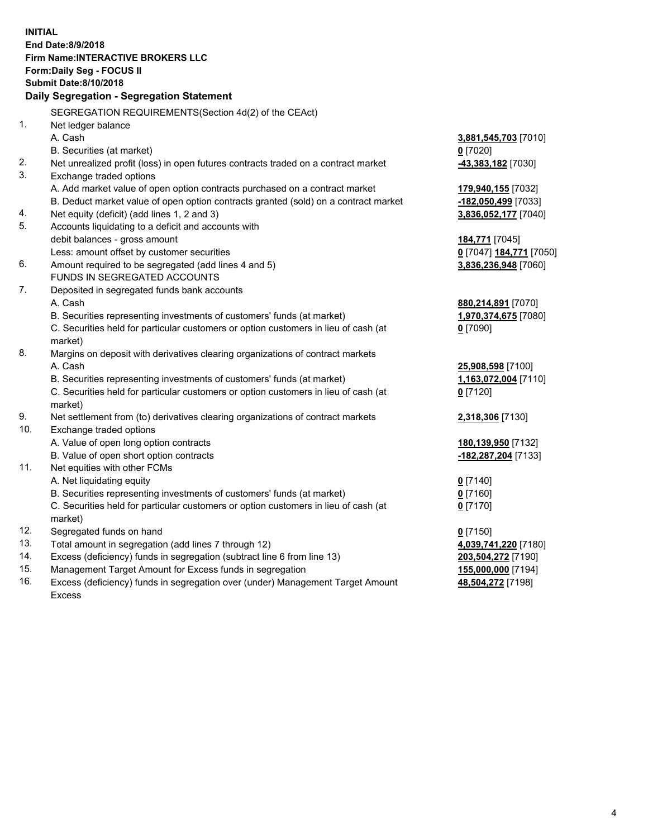**INITIAL End Date:8/9/2018 Firm Name:INTERACTIVE BROKERS LLC Form:Daily Seg - FOCUS II Submit Date:8/10/2018 Daily Segregation - Segregation Statement** SEGREGATION REQUIREMENTS(Section 4d(2) of the CEAct) 1. Net ledger balance A. Cash **3,881,545,703** [7010] B. Securities (at market) **0** [7020] 2. Net unrealized profit (loss) in open futures contracts traded on a contract market **-43,383,182** [7030] 3. Exchange traded options A. Add market value of open option contracts purchased on a contract market **179,940,155** [7032] B. Deduct market value of open option contracts granted (sold) on a contract market **-182,050,499** [7033] 4. Net equity (deficit) (add lines 1, 2 and 3) **3,836,052,177** [7040] 5. Accounts liquidating to a deficit and accounts with debit balances - gross amount **184,771** [7045] Less: amount offset by customer securities **0** [7047] **184,771** [7050] 6. Amount required to be segregated (add lines 4 and 5) **3,836,236,948** [7060] FUNDS IN SEGREGATED ACCOUNTS 7. Deposited in segregated funds bank accounts A. Cash **880,214,891** [7070] B. Securities representing investments of customers' funds (at market) **1,970,374,675** [7080] C. Securities held for particular customers or option customers in lieu of cash (at market) **0** [7090] 8. Margins on deposit with derivatives clearing organizations of contract markets A. Cash **25,908,598** [7100] B. Securities representing investments of customers' funds (at market) **1,163,072,004** [7110] C. Securities held for particular customers or option customers in lieu of cash (at market) **0** [7120] 9. Net settlement from (to) derivatives clearing organizations of contract markets **2,318,306** [7130] 10. Exchange traded options A. Value of open long option contracts **180,139,950** [7132] B. Value of open short option contracts **-182,287,204** [7133] 11. Net equities with other FCMs A. Net liquidating equity **0** [7140] B. Securities representing investments of customers' funds (at market) **0** [7160] C. Securities held for particular customers or option customers in lieu of cash (at market) **0** [7170] 12. Segregated funds on hand **0** [7150] 13. Total amount in segregation (add lines 7 through 12) **4,039,741,220** [7180] 14. Excess (deficiency) funds in segregation (subtract line 6 from line 13) **203,504,272** [7190] 15. Management Target Amount for Excess funds in segregation **155,000,000** [7194]

16. Excess (deficiency) funds in segregation over (under) Management Target Amount Excess

**48,504,272** [7198]